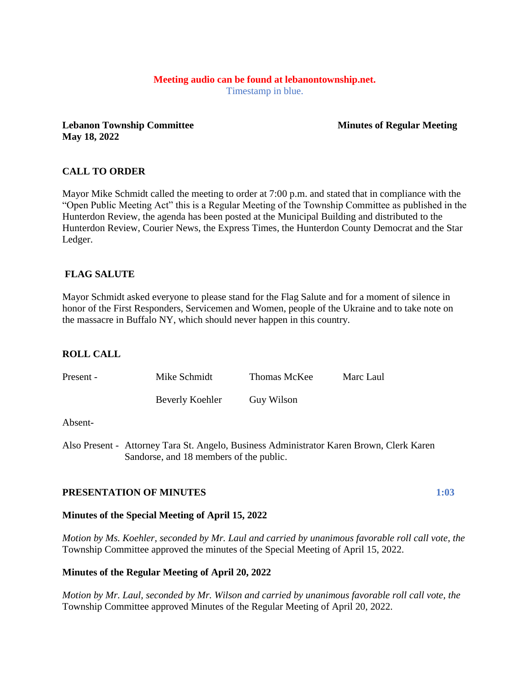# **Meeting audio can be found at lebanontownship.net.**

Timestamp in blue.

**Lebanon Township Committee Service Service Service Service Service Service Service Service Service Service Service Service Service Service Service Service Service Service Service Service Service Service Service Service Se May 18, 2022**

# **CALL TO ORDER**

Mayor Mike Schmidt called the meeting to order at 7:00 p.m. and stated that in compliance with the "Open Public Meeting Act" this is a Regular Meeting of the Township Committee as published in the Hunterdon Review, the agenda has been posted at the Municipal Building and distributed to the Hunterdon Review, Courier News, the Express Times, the Hunterdon County Democrat and the Star Ledger.

# **FLAG SALUTE**

Mayor Schmidt asked everyone to please stand for the Flag Salute and for a moment of silence in honor of the First Responders, Servicemen and Women, people of the Ukraine and to take note on the massacre in Buffalo NY, which should never happen in this country.

# **ROLL CALL**

| Present - | Mike Schmidt    | Thomas McKee | Marc Laul |
|-----------|-----------------|--------------|-----------|
|           | Beverly Koehler | Guy Wilson   |           |

#### Absent-

Also Present - Attorney Tara St. Angelo, Business Administrator Karen Brown, Clerk Karen Sandorse, and 18 members of the public.

# **PRESENTATION OF MINUTES 1:03**

# **Minutes of the Special Meeting of April 15, 2022**

*Motion by Ms. Koehler, seconded by Mr. Laul and carried by unanimous favorable roll call vote, the* Township Committee approved the minutes of the Special Meeting of April 15, 2022.

# **Minutes of the Regular Meeting of April 20, 2022**

*Motion by Mr. Laul, seconded by Mr. Wilson and carried by unanimous favorable roll call vote, the* Township Committee approved Minutes of the Regular Meeting of April 20, 2022.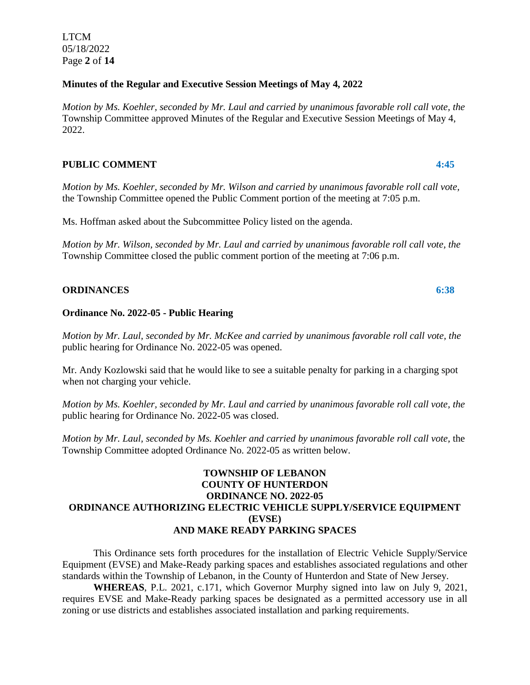LTCM 05/18/2022 Page **2** of **14**

#### **Minutes of the Regular and Executive Session Meetings of May 4, 2022**

*Motion by Ms. Koehler, seconded by Mr. Laul and carried by unanimous favorable roll call vote, the* Township Committee approved Minutes of the Regular and Executive Session Meetings of May 4, 2022.

# **PUBLIC COMMENT 4:45**

*Motion by Ms. Koehler, seconded by Mr. Wilson and carried by unanimous favorable roll call vote,* the Township Committee opened the Public Comment portion of the meeting at 7:05 p.m.

Ms. Hoffman asked about the Subcommittee Policy listed on the agenda.

*Motion by Mr. Wilson, seconded by Mr. Laul and carried by unanimous favorable roll call vote, the* Township Committee closed the public comment portion of the meeting at 7:06 p.m.

### **ORDINANCES 6:38**

### **Ordinance No. 2022-05 - Public Hearing**

*Motion by Mr. Laul, seconded by Mr. McKee and carried by unanimous favorable roll call vote, the* public hearing for Ordinance No. 2022-05 was opened.

Mr. Andy Kozlowski said that he would like to see a suitable penalty for parking in a charging spot when not charging your vehicle.

*Motion by Ms. Koehler, seconded by Mr. Laul and carried by unanimous favorable roll call vote, the* public hearing for Ordinance No. 2022-05 was closed.

*Motion by Mr. Laul, seconded by Ms. Koehler and carried by unanimous favorable roll call vote, the* Township Committee adopted Ordinance No. 2022-05 as written below.

# **TOWNSHIP OF LEBANON COUNTY OF HUNTERDON ORDINANCE NO. 2022-05 ORDINANCE AUTHORIZING ELECTRIC VEHICLE SUPPLY/SERVICE EQUIPMENT (EVSE) AND MAKE READY PARKING SPACES**

This Ordinance sets forth procedures for the installation of Electric Vehicle Supply/Service Equipment (EVSE) and Make-Ready parking spaces and establishes associated regulations and other standards within the Township of Lebanon, in the County of Hunterdon and State of New Jersey.

**WHEREAS**, P.L. 2021, c.171, which Governor Murphy signed into law on July 9, 2021, requires EVSE and Make-Ready parking spaces be designated as a permitted accessory use in all zoning or use districts and establishes associated installation and parking requirements.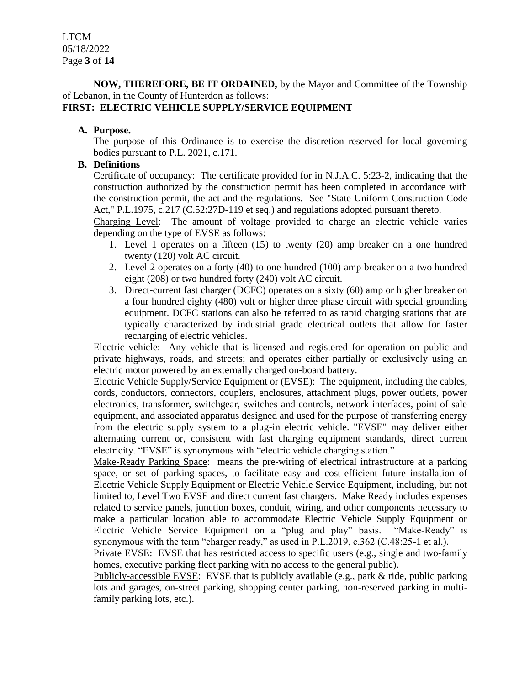**NOW, THEREFORE, BE IT ORDAINED,** by the Mayor and Committee of the Township of Lebanon, in the County of Hunterdon as follows:

# **FIRST: ELECTRIC VEHICLE SUPPLY/SERVICE EQUIPMENT**

#### **A. Purpose.**

The purpose of this Ordinance is to exercise the discretion reserved for local governing bodies pursuant to P.L. 2021, c.171.

### **B. Definitions**

Certificate of occupancy: The certificate provided for in N.J.A.C. 5:23-2, indicating that the construction authorized by the construction permit has been completed in accordance with the construction permit, the act and the regulations. See "State Uniform Construction Code Act," P.L.1975, c.217 (C.52:27D-119 et seq.) and regulations adopted pursuant thereto.

Charging Level: The amount of voltage provided to charge an electric vehicle varies depending on the type of EVSE as follows:

- 1. Level 1 operates on a fifteen (15) to twenty (20) amp breaker on a one hundred twenty (120) volt AC circuit.
- 2. Level 2 operates on a forty (40) to one hundred (100) amp breaker on a two hundred eight (208) or two hundred forty (240) volt AC circuit.
- 3. Direct-current fast charger (DCFC) operates on a sixty (60) amp or higher breaker on a four hundred eighty (480) volt or higher three phase circuit with special grounding equipment. DCFC stations can also be referred to as rapid charging stations that are typically characterized by industrial grade electrical outlets that allow for faster recharging of electric vehicles.

Electric vehicle: Any vehicle that is licensed and registered for operation on public and private highways, roads, and streets; and operates either partially or exclusively using an electric motor powered by an externally charged on-board battery.

Electric Vehicle Supply/Service Equipment or (EVSE): The equipment, including the cables, cords, conductors, connectors, couplers, enclosures, attachment plugs, power outlets, power electronics, transformer, switchgear, switches and controls, network interfaces, point of sale equipment, and associated apparatus designed and used for the purpose of transferring energy from the electric supply system to a plug-in electric vehicle. "EVSE" may deliver either alternating current or, consistent with fast charging equipment standards, direct current electricity. "EVSE" is synonymous with "electric vehicle charging station."

Make-Ready Parking Space: means the pre-wiring of electrical infrastructure at a parking space, or set of parking spaces, to facilitate easy and cost-efficient future installation of Electric Vehicle Supply Equipment or Electric Vehicle Service Equipment, including, but not limited to, Level Two EVSE and direct current fast chargers. Make Ready includes expenses related to service panels, junction boxes, conduit, wiring, and other components necessary to make a particular location able to accommodate Electric Vehicle Supply Equipment or Electric Vehicle Service Equipment on a "plug and play" basis. "Make-Ready" is synonymous with the term "charger ready," as used in P.L.2019, c.362 (C.48:25-1 et al.).

Private EVSE: EVSE that has restricted access to specific users (e.g., single and two-family homes, executive parking fleet parking with no access to the general public).

Publicly-accessible EVSE: EVSE that is publicly available (e.g., park  $\&$  ride, public parking lots and garages, on-street parking, shopping center parking, non-reserved parking in multifamily parking lots, etc.).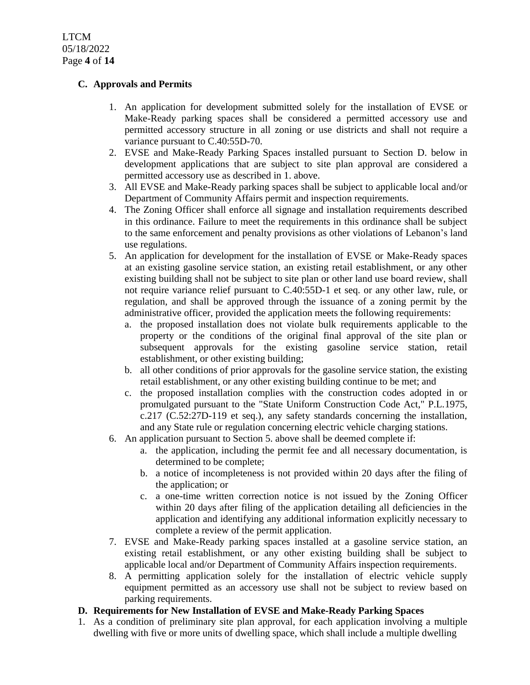# **C. Approvals and Permits**

- 1. An application for development submitted solely for the installation of EVSE or Make-Ready parking spaces shall be considered a permitted accessory use and permitted accessory structure in all zoning or use districts and shall not require a variance pursuant to C.40:55D-70.
- 2. EVSE and Make-Ready Parking Spaces installed pursuant to Section D. below in development applications that are subject to site plan approval are considered a permitted accessory use as described in 1. above.
- 3. All EVSE and Make-Ready parking spaces shall be subject to applicable local and/or Department of Community Affairs permit and inspection requirements.
- 4. The Zoning Officer shall enforce all signage and installation requirements described in this ordinance. Failure to meet the requirements in this ordinance shall be subject to the same enforcement and penalty provisions as other violations of Lebanon's land use regulations.
- 5. An application for development for the installation of EVSE or Make-Ready spaces at an existing gasoline service station, an existing retail establishment, or any other existing building shall not be subject to site plan or other land use board review, shall not require variance relief pursuant to C.40:55D-1 et seq. or any other law, rule, or regulation, and shall be approved through the issuance of a zoning permit by the administrative officer, provided the application meets the following requirements:
	- a. the proposed installation does not violate bulk requirements applicable to the property or the conditions of the original final approval of the site plan or subsequent approvals for the existing gasoline service station, retail establishment, or other existing building;
	- b. all other conditions of prior approvals for the gasoline service station, the existing retail establishment, or any other existing building continue to be met; and
	- c. the proposed installation complies with the construction codes adopted in or promulgated pursuant to the "State Uniform Construction Code Act," P.L.1975, c.217 (C.52:27D-119 et seq.), any safety standards concerning the installation, and any State rule or regulation concerning electric vehicle charging stations.
- 6. An application pursuant to Section 5. above shall be deemed complete if:
	- a. the application, including the permit fee and all necessary documentation, is determined to be complete;
	- b. a notice of incompleteness is not provided within 20 days after the filing of the application; or
	- c. a one-time written correction notice is not issued by the Zoning Officer within 20 days after filing of the application detailing all deficiencies in the application and identifying any additional information explicitly necessary to complete a review of the permit application.
- 7. EVSE and Make-Ready parking spaces installed at a gasoline service station, an existing retail establishment, or any other existing building shall be subject to applicable local and/or Department of Community Affairs inspection requirements.
- 8. A permitting application solely for the installation of electric vehicle supply equipment permitted as an accessory use shall not be subject to review based on parking requirements.

# **D. Requirements for New Installation of EVSE and Make-Ready Parking Spaces**

1. As a condition of preliminary site plan approval, for each application involving a multiple dwelling with five or more units of dwelling space, which shall include a multiple dwelling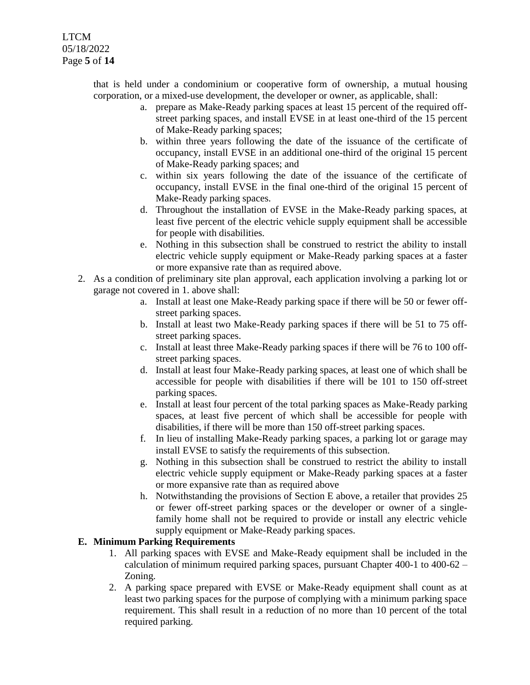LTCM 05/18/2022 Page **5** of **14**

> that is held under a condominium or cooperative form of ownership, a mutual housing corporation, or a mixed-use development, the developer or owner, as applicable, shall:

- a. prepare as Make-Ready parking spaces at least 15 percent of the required offstreet parking spaces, and install EVSE in at least one-third of the 15 percent of Make-Ready parking spaces;
- b. within three years following the date of the issuance of the certificate of occupancy, install EVSE in an additional one-third of the original 15 percent of Make-Ready parking spaces; and
- c. within six years following the date of the issuance of the certificate of occupancy, install EVSE in the final one-third of the original 15 percent of Make-Ready parking spaces.
- d. Throughout the installation of EVSE in the Make-Ready parking spaces, at least five percent of the electric vehicle supply equipment shall be accessible for people with disabilities.
- e. Nothing in this subsection shall be construed to restrict the ability to install electric vehicle supply equipment or Make-Ready parking spaces at a faster or more expansive rate than as required above.
- 2. As a condition of preliminary site plan approval, each application involving a parking lot or garage not covered in 1. above shall:
	- a. Install at least one Make-Ready parking space if there will be 50 or fewer offstreet parking spaces.
	- b. Install at least two Make-Ready parking spaces if there will be 51 to 75 offstreet parking spaces.
	- c. Install at least three Make-Ready parking spaces if there will be 76 to 100 offstreet parking spaces.
	- d. Install at least four Make-Ready parking spaces, at least one of which shall be accessible for people with disabilities if there will be 101 to 150 off-street parking spaces.
	- e. Install at least four percent of the total parking spaces as Make-Ready parking spaces, at least five percent of which shall be accessible for people with disabilities, if there will be more than 150 off-street parking spaces.
	- f. In lieu of installing Make-Ready parking spaces, a parking lot or garage may install EVSE to satisfy the requirements of this subsection.
	- g. Nothing in this subsection shall be construed to restrict the ability to install electric vehicle supply equipment or Make-Ready parking spaces at a faster or more expansive rate than as required above
	- h. Notwithstanding the provisions of Section E above, a retailer that provides 25 or fewer off-street parking spaces or the developer or owner of a singlefamily home shall not be required to provide or install any electric vehicle supply equipment or Make-Ready parking spaces.

# **E. Minimum Parking Requirements**

- 1. All parking spaces with EVSE and Make-Ready equipment shall be included in the calculation of minimum required parking spaces, pursuant Chapter 400-1 to 400-62 – Zoning.
- 2. A parking space prepared with EVSE or Make-Ready equipment shall count as at least two parking spaces for the purpose of complying with a minimum parking space requirement. This shall result in a reduction of no more than 10 percent of the total required parking.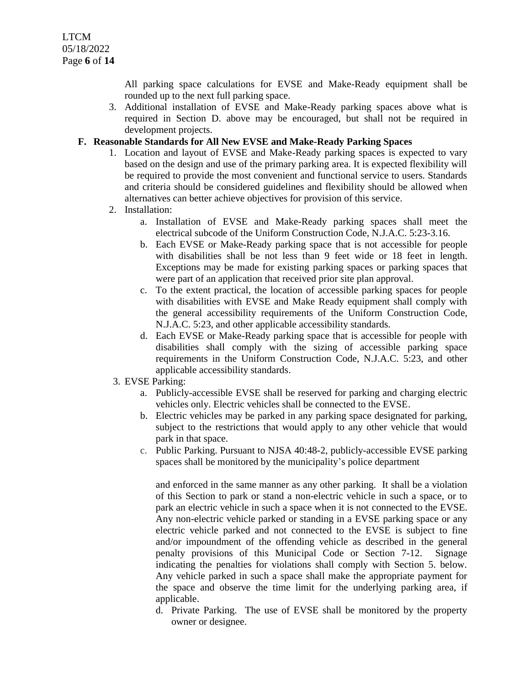All parking space calculations for EVSE and Make-Ready equipment shall be rounded up to the next full parking space.

3. Additional installation of EVSE and Make-Ready parking spaces above what is required in Section D. above may be encouraged, but shall not be required in development projects.

### **F. Reasonable Standards for All New EVSE and Make-Ready Parking Spaces**

- 1. Location and layout of EVSE and Make-Ready parking spaces is expected to vary based on the design and use of the primary parking area. It is expected flexibility will be required to provide the most convenient and functional service to users. Standards and criteria should be considered guidelines and flexibility should be allowed when alternatives can better achieve objectives for provision of this service.
- 2. Installation:
	- a. Installation of EVSE and Make-Ready parking spaces shall meet the electrical subcode of the Uniform Construction Code, N.J.A.C. 5:23-3.16.
	- b. Each EVSE or Make-Ready parking space that is not accessible for people with disabilities shall be not less than 9 feet wide or 18 feet in length. Exceptions may be made for existing parking spaces or parking spaces that were part of an application that received prior site plan approval.
	- c. To the extent practical, the location of accessible parking spaces for people with disabilities with EVSE and Make Ready equipment shall comply with the general accessibility requirements of the Uniform Construction Code, N.J.A.C. 5:23, and other applicable accessibility standards.
	- d. Each EVSE or Make-Ready parking space that is accessible for people with disabilities shall comply with the sizing of accessible parking space requirements in the Uniform Construction Code, N.J.A.C. 5:23, and other applicable accessibility standards.

# 3. EVSE Parking:

- a. Publicly-accessible EVSE shall be reserved for parking and charging electric vehicles only. Electric vehicles shall be connected to the EVSE.
- b. Electric vehicles may be parked in any parking space designated for parking, subject to the restrictions that would apply to any other vehicle that would park in that space.
- c. Public Parking. Pursuant to NJSA 40:48-2, publicly-accessible EVSE parking spaces shall be monitored by the municipality's police department

and enforced in the same manner as any other parking. It shall be a violation of this Section to park or stand a non-electric vehicle in such a space, or to park an electric vehicle in such a space when it is not connected to the EVSE. Any non-electric vehicle parked or standing in a EVSE parking space or any electric vehicle parked and not connected to the EVSE is subject to fine and/or impoundment of the offending vehicle as described in the general penalty provisions of this Municipal Code or Section 7-12. Signage indicating the penalties for violations shall comply with Section 5. below. Any vehicle parked in such a space shall make the appropriate payment for the space and observe the time limit for the underlying parking area, if applicable.

d. Private Parking. The use of EVSE shall be monitored by the property owner or designee.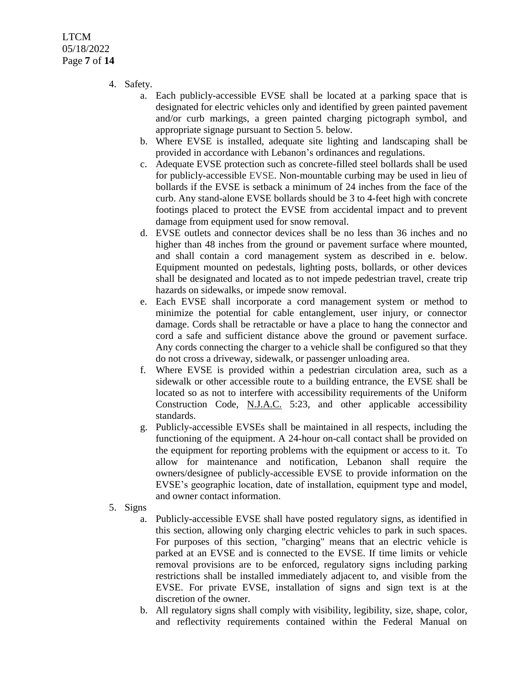LTCM 05/18/2022 Page **7** of **14**

- 4. Safety.
	- a. Each publicly-accessible EVSE shall be located at a parking space that is designated for electric vehicles only and identified by green painted pavement and/or curb markings, a green painted charging pictograph symbol, and appropriate signage pursuant to Section 5. below.
	- b. Where EVSE is installed, adequate site lighting and landscaping shall be provided in accordance with Lebanon's ordinances and regulations.
	- c. Adequate EVSE protection such as concrete-filled steel bollards shall be used for publicly-accessible EVSE. Non-mountable curbing may be used in lieu of bollards if the EVSE is setback a minimum of 24 inches from the face of the curb. Any stand-alone EVSE bollards should be 3 to 4-feet high with concrete footings placed to protect the EVSE from accidental impact and to prevent damage from equipment used for snow removal.
	- d. EVSE outlets and connector devices shall be no less than 36 inches and no higher than 48 inches from the ground or pavement surface where mounted, and shall contain a cord management system as described in e. below. Equipment mounted on pedestals, lighting posts, bollards, or other devices shall be designated and located as to not impede pedestrian travel, create trip hazards on sidewalks, or impede snow removal.
	- e. Each EVSE shall incorporate a cord management system or method to minimize the potential for cable entanglement, user injury, or connector damage. Cords shall be retractable or have a place to hang the connector and cord a safe and sufficient distance above the ground or pavement surface. Any cords connecting the charger to a vehicle shall be configured so that they do not cross a driveway, sidewalk, or passenger unloading area.
	- f. Where EVSE is provided within a pedestrian circulation area, such as a sidewalk or other accessible route to a building entrance, the EVSE shall be located so as not to interfere with accessibility requirements of the Uniform Construction Code, N.J.A.C. 5:23, and other applicable accessibility standards.
	- g. Publicly-accessible EVSEs shall be maintained in all respects, including the functioning of the equipment. A 24-hour on-call contact shall be provided on the equipment for reporting problems with the equipment or access to it. To allow for maintenance and notification, Lebanon shall require the owners/designee of publicly-accessible EVSE to provide information on the EVSE's geographic location, date of installation, equipment type and model, and owner contact information.
- 5. Signs
	- a. Publicly-accessible EVSE shall have posted regulatory signs, as identified in this section, allowing only charging electric vehicles to park in such spaces. For purposes of this section, "charging" means that an electric vehicle is parked at an EVSE and is connected to the EVSE. If time limits or vehicle removal provisions are to be enforced, regulatory signs including parking restrictions shall be installed immediately adjacent to, and visible from the EVSE. For private EVSE, installation of signs and sign text is at the discretion of the owner.
	- b. All regulatory signs shall comply with visibility, legibility, size, shape, color, and reflectivity requirements contained within the Federal Manual on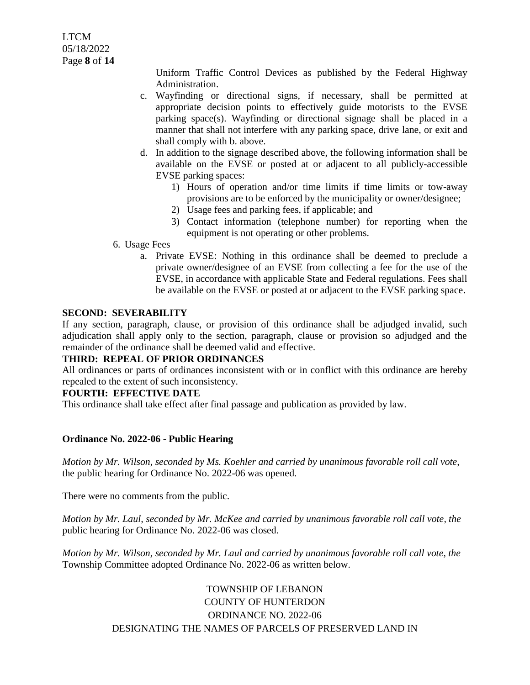LTCM 05/18/2022 Page **8** of **14**

> Uniform Traffic Control Devices as published by the Federal Highway Administration.

- c. Wayfinding or directional signs, if necessary, shall be permitted at appropriate decision points to effectively guide motorists to the EVSE parking space(s). Wayfinding or directional signage shall be placed in a manner that shall not interfere with any parking space, drive lane, or exit and shall comply with b. above.
- d. In addition to the signage described above, the following information shall be available on the EVSE or posted at or adjacent to all publicly-accessible EVSE parking spaces:
	- 1) Hours of operation and/or time limits if time limits or tow-away provisions are to be enforced by the municipality or owner/designee;
	- 2) Usage fees and parking fees, if applicable; and
	- 3) Contact information (telephone number) for reporting when the equipment is not operating or other problems.
- 6. Usage Fees
	- a. Private EVSE: Nothing in this ordinance shall be deemed to preclude a private owner/designee of an EVSE from collecting a fee for the use of the EVSE, in accordance with applicable State and Federal regulations. Fees shall be available on the EVSE or posted at or adjacent to the EVSE parking space.

### **SECOND: SEVERABILITY**

If any section, paragraph, clause, or provision of this ordinance shall be adjudged invalid, such adjudication shall apply only to the section, paragraph, clause or provision so adjudged and the remainder of the ordinance shall be deemed valid and effective.

### **THIRD: REPEAL OF PRIOR ORDINANCES**

All ordinances or parts of ordinances inconsistent with or in conflict with this ordinance are hereby repealed to the extent of such inconsistency.

#### **FOURTH: EFFECTIVE DATE**

This ordinance shall take effect after final passage and publication as provided by law.

#### **Ordinance No. 2022-06 - Public Hearing**

*Motion by Mr. Wilson, seconded by Ms. Koehler and carried by unanimous favorable roll call vote,* the public hearing for Ordinance No. 2022-06 was opened.

There were no comments from the public.

*Motion by Mr. Laul, seconded by Mr. McKee and carried by unanimous favorable roll call vote, the* public hearing for Ordinance No. 2022-06 was closed.

*Motion by Mr. Wilson, seconded by Mr. Laul and carried by unanimous favorable roll call vote, the* Township Committee adopted Ordinance No. 2022-06 as written below.

# TOWNSHIP OF LEBANON COUNTY OF HUNTERDON ORDINANCE NO. 2022-06 DESIGNATING THE NAMES OF PARCELS OF PRESERVED LAND IN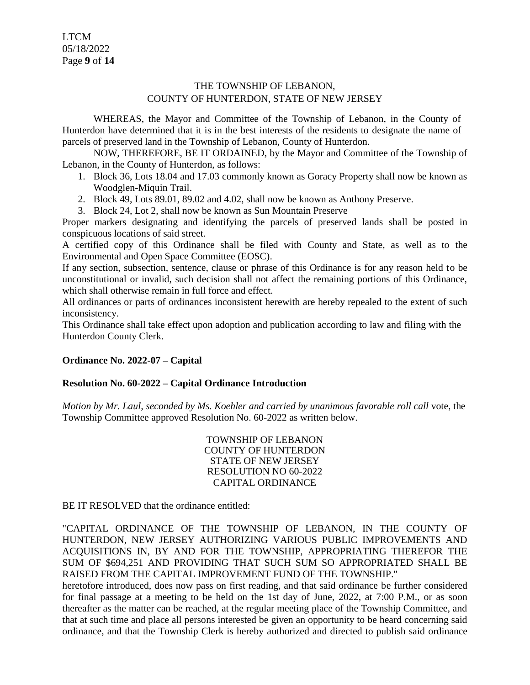LTCM 05/18/2022 Page **9** of **14**

# THE TOWNSHIP OF LEBANON, COUNTY OF HUNTERDON, STATE OF NEW JERSEY

WHEREAS, the Mayor and Committee of the Township of Lebanon, in the County of Hunterdon have determined that it is in the best interests of the residents to designate the name of parcels of preserved land in the Township of Lebanon, County of Hunterdon.

NOW, THEREFORE, BE IT ORDAINED, by the Mayor and Committee of the Township of Lebanon, in the County of Hunterdon, as follows:

- 1. Block 36, Lots 18.04 and 17.03 commonly known as Goracy Property shall now be known as Woodglen-Miquin Trail.
- 2. Block 49, Lots 89.01, 89.02 and 4.02, shall now be known as Anthony Preserve.
- 3. Block 24, Lot 2, shall now be known as Sun Mountain Preserve

Proper markers designating and identifying the parcels of preserved lands shall be posted in conspicuous locations of said street.

A certified copy of this Ordinance shall be filed with County and State, as well as to the Environmental and Open Space Committee (EOSC).

If any section, subsection, sentence, clause or phrase of this Ordinance is for any reason held to be unconstitutional or invalid, such decision shall not affect the remaining portions of this Ordinance, which shall otherwise remain in full force and effect.

All ordinances or parts of ordinances inconsistent herewith are hereby repealed to the extent of such inconsistency.

This Ordinance shall take effect upon adoption and publication according to law and filing with the Hunterdon County Clerk.

# **Ordinance No. 2022-07 – Capital**

#### **Resolution No. 60-2022 – Capital Ordinance Introduction**

*Motion by Mr. Laul, seconded by Ms. Koehler and carried by unanimous favorable roll call* vote, the Township Committee approved Resolution No. 60-2022 as written below.

> TOWNSHIP OF LEBANON COUNTY OF HUNTERDON STATE OF NEW JERSEY RESOLUTION NO 60-2022 CAPITAL ORDINANCE

BE IT RESOLVED that the ordinance entitled:

"CAPITAL ORDINANCE OF THE TOWNSHIP OF LEBANON, IN THE COUNTY OF HUNTERDON, NEW JERSEY AUTHORIZING VARIOUS PUBLIC IMPROVEMENTS AND ACQUISITIONS IN, BY AND FOR THE TOWNSHIP, APPROPRIATING THEREFOR THE SUM OF \$694,251 AND PROVIDING THAT SUCH SUM SO APPROPRIATED SHALL BE RAISED FROM THE CAPITAL IMPROVEMENT FUND OF THE TOWNSHIP."

heretofore introduced, does now pass on first reading, and that said ordinance be further considered for final passage at a meeting to be held on the 1st day of June, 2022, at 7:00 P.M., or as soon thereafter as the matter can be reached, at the regular meeting place of the Township Committee, and that at such time and place all persons interested be given an opportunity to be heard concerning said ordinance, and that the Township Clerk is hereby authorized and directed to publish said ordinance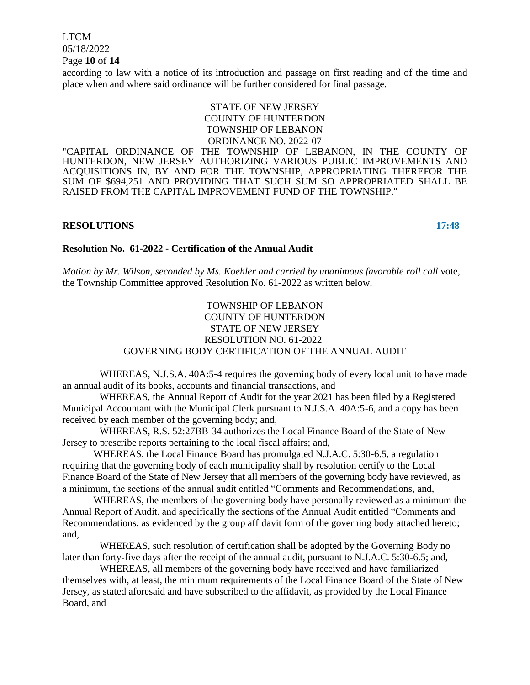LTCM 05/18/2022 Page **10** of **14**

according to law with a notice of its introduction and passage on first reading and of the time and place when and where said ordinance will be further considered for final passage.

# STATE OF NEW JERSEY COUNTY OF HUNTERDON TOWNSHIP OF LEBANON ORDINANCE NO. 2022-07

"CAPITAL ORDINANCE OF THE TOWNSHIP OF LEBANON, IN THE COUNTY OF HUNTERDON, NEW JERSEY AUTHORIZING VARIOUS PUBLIC IMPROVEMENTS AND ACQUISITIONS IN, BY AND FOR THE TOWNSHIP, APPROPRIATING THEREFOR THE SUM OF \$694,251 AND PROVIDING THAT SUCH SUM SO APPROPRIATED SHALL BE RAISED FROM THE CAPITAL IMPROVEMENT FUND OF THE TOWNSHIP."

#### **RESOLUTIONS 17:48**

#### **Resolution No. 61-2022 - Certification of the Annual Audit**

*Motion by Mr. Wilson, seconded by Ms. Koehler and carried by unanimous favorable roll call* vote, the Township Committee approved Resolution No. 61-2022 as written below.

# TOWNSHIP OF LEBANON COUNTY OF HUNTERDON STATE OF NEW JERSEY RESOLUTION NO. 61-2022 GOVERNING BODY CERTIFICATION OF THE ANNUAL AUDIT

WHEREAS, N.J.S.A. 40A:5-4 requires the governing body of every local unit to have made an annual audit of its books, accounts and financial transactions, and

WHEREAS, the Annual Report of Audit for the year 2021 has been filed by a Registered Municipal Accountant with the Municipal Clerk pursuant to N.J.S.A. 40A:5-6, and a copy has been received by each member of the governing body; and,

WHEREAS, R.S. 52:27BB-34 authorizes the Local Finance Board of the State of New Jersey to prescribe reports pertaining to the local fiscal affairs; and,

WHEREAS, the Local Finance Board has promulgated N.J.A.C. 5:30-6.5, a regulation requiring that the governing body of each municipality shall by resolution certify to the Local Finance Board of the State of New Jersey that all members of the governing body have reviewed, as a minimum, the sections of the annual audit entitled "Comments and Recommendations, and,

WHEREAS, the members of the governing body have personally reviewed as a minimum the Annual Report of Audit, and specifically the sections of the Annual Audit entitled "Comments and Recommendations, as evidenced by the group affidavit form of the governing body attached hereto; and,

WHEREAS, such resolution of certification shall be adopted by the Governing Body no later than forty-five days after the receipt of the annual audit, pursuant to N.J.A.C. 5:30-6.5; and,

WHEREAS, all members of the governing body have received and have familiarized themselves with, at least, the minimum requirements of the Local Finance Board of the State of New Jersey, as stated aforesaid and have subscribed to the affidavit, as provided by the Local Finance Board, and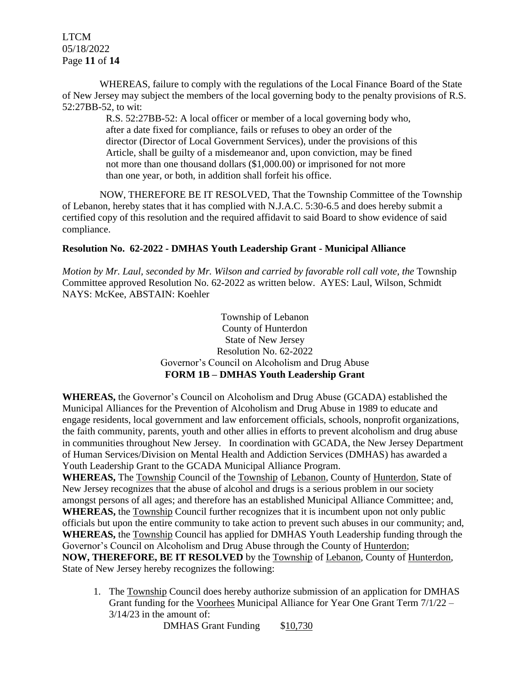LTCM 05/18/2022 Page **11** of **14**

WHEREAS, failure to comply with the regulations of the Local Finance Board of the State of New Jersey may subject the members of the local governing body to the penalty provisions of R.S. 52:27BB-52, to wit:

> R.S. 52:27BB-52: A local officer or member of a local governing body who, after a date fixed for compliance, fails or refuses to obey an order of the director (Director of Local Government Services), under the provisions of this Article, shall be guilty of a misdemeanor and, upon conviction, may be fined not more than one thousand dollars (\$1,000.00) or imprisoned for not more than one year, or both, in addition shall forfeit his office.

NOW, THEREFORE BE IT RESOLVED, That the Township Committee of the Township of Lebanon, hereby states that it has complied with N.J.A.C. 5:30-6.5 and does hereby submit a certified copy of this resolution and the required affidavit to said Board to show evidence of said compliance.

# **Resolution No. 62-2022 - DMHAS Youth Leadership Grant - Municipal Alliance**

*Motion by Mr. Laul, seconded by Mr. Wilson and carried by favorable roll call vote, the* Township Committee approved Resolution No. 62-2022 as written below. AYES: Laul, Wilson, Schmidt NAYS: McKee, ABSTAIN: Koehler

> Township of Lebanon County of Hunterdon State of New Jersey Resolution No. 62-2022 Governor's Council on Alcoholism and Drug Abuse **FORM 1B – DMHAS Youth Leadership Grant**

**WHEREAS,** the Governor's Council on Alcoholism and Drug Abuse (GCADA) established the Municipal Alliances for the Prevention of Alcoholism and Drug Abuse in 1989 to educate and engage residents, local government and law enforcement officials, schools, nonprofit organizations, the faith community, parents, youth and other allies in efforts to prevent alcoholism and drug abuse in communities throughout New Jersey. In coordination with GCADA, the New Jersey Department of Human Services/Division on Mental Health and Addiction Services (DMHAS) has awarded a Youth Leadership Grant to the GCADA Municipal Alliance Program.

**WHEREAS,** The Township Council of the Township of Lebanon, County of Hunterdon, State of New Jersey recognizes that the abuse of alcohol and drugs is a serious problem in our society amongst persons of all ages; and therefore has an established Municipal Alliance Committee; and, **WHEREAS,** the Township Council further recognizes that it is incumbent upon not only public officials but upon the entire community to take action to prevent such abuses in our community; and, **WHEREAS,** the Township Council has applied for DMHAS Youth Leadership funding through the Governor's Council on Alcoholism and Drug Abuse through the County of Hunterdon; **NOW, THEREFORE, BE IT RESOLVED** by the Township of Lebanon, County of Hunterdon, State of New Jersey hereby recognizes the following:

1. The Township Council does hereby authorize submission of an application for DMHAS Grant funding for the Voorhees Municipal Alliance for Year One Grant Term 7/1/22 – 3/14/23 in the amount of:

DMHAS Grant Funding \$10,730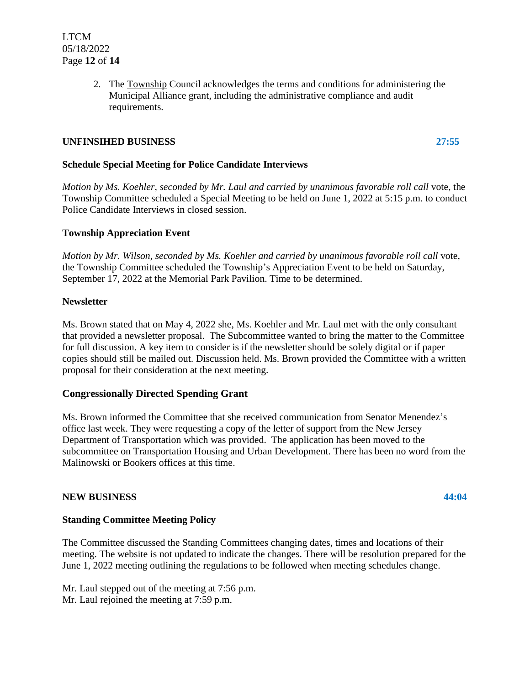2. The Township Council acknowledges the terms and conditions for administering the Municipal Alliance grant, including the administrative compliance and audit requirements.

# **UNFINSIHED BUSINESS 27:55**

**Schedule Special Meeting for Police Candidate Interviews**

*Motion by Ms. Koehler, seconded by Mr. Laul and carried by unanimous favorable roll call* vote, the Township Committee scheduled a Special Meeting to be held on June 1, 2022 at 5:15 p.m. to conduct Police Candidate Interviews in closed session.

### **Township Appreciation Event**

*Motion by Mr. Wilson, seconded by Ms. Koehler and carried by unanimous favorable roll call* vote, the Township Committee scheduled the Township's Appreciation Event to be held on Saturday, September 17, 2022 at the Memorial Park Pavilion. Time to be determined.

### **Newsletter**

Ms. Brown stated that on May 4, 2022 she, Ms. Koehler and Mr. Laul met with the only consultant that provided a newsletter proposal. The Subcommittee wanted to bring the matter to the Committee for full discussion. A key item to consider is if the newsletter should be solely digital or if paper copies should still be mailed out. Discussion held. Ms. Brown provided the Committee with a written proposal for their consideration at the next meeting.

# **Congressionally Directed Spending Grant**

Ms. Brown informed the Committee that she received communication from Senator Menendez's office last week. They were requesting a copy of the letter of support from the New Jersey Department of Transportation which was provided. The application has been moved to the subcommittee on Transportation Housing and Urban Development. There has been no word from the Malinowski or Bookers offices at this time.

# **NEW BUSINESS 44:04**

# **Standing Committee Meeting Policy**

The Committee discussed the Standing Committees changing dates, times and locations of their meeting. The website is not updated to indicate the changes. There will be resolution prepared for the June 1, 2022 meeting outlining the regulations to be followed when meeting schedules change.

Mr. Laul stepped out of the meeting at 7:56 p.m. Mr. Laul rejoined the meeting at 7:59 p.m.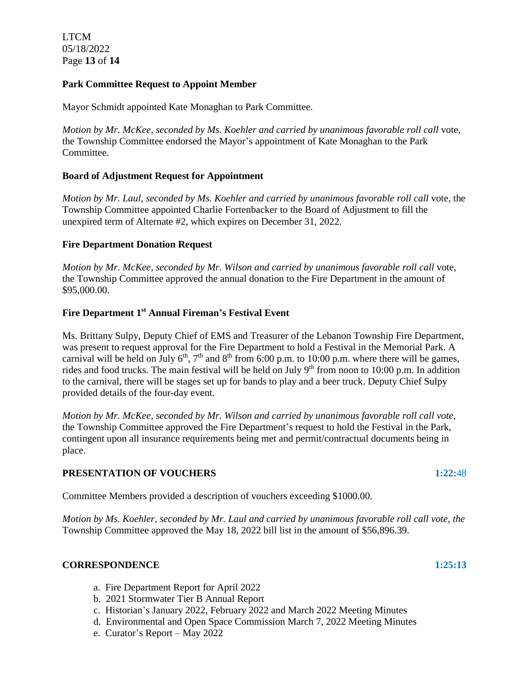LTCM 05/18/2022 Page **13** of **14**

### **Park Committee Request to Appoint Member**

Mayor Schmidt appointed Kate Monaghan to Park Committee.

*Motion by Mr. McKee, seconded by Ms. Koehler and carried by unanimous favorable roll call* vote, the Township Committee endorsed the Mayor's appointment of Kate Monaghan to the Park Committee.

### **Board of Adjustment Request for Appointment**

*Motion by Mr. Laul, seconded by Ms. Koehler and carried by unanimous favorable roll call* vote, the Township Committee appointed Charlie Fortenbacker to the Board of Adjustment to fill the unexpired term of Alternate #2, which expires on December 31, 2022.

### **Fire Department Donation Request**

*Motion by Mr. McKee, seconded by Mr. Wilson and carried by unanimous favorable roll call* vote, the Township Committee approved the annual donation to the Fire Department in the amount of \$95,000.00.

# **Fire Department 1 st Annual Fireman's Festival Event**

Ms. Brittany Sulpy, Deputy Chief of EMS and Treasurer of the Lebanon Township Fire Department, was present to request approval for the Fire Department to hold a Festival in the Memorial Park. A carnival will be held on July  $6<sup>th</sup>$ ,  $7<sup>th</sup>$  and  $8<sup>th</sup>$  from 6:00 p.m. to 10:00 p.m. where there will be games, rides and food trucks. The main festival will be held on July  $9<sup>th</sup>$  from noon to 10:00 p.m. In addition to the carnival, there will be stages set up for bands to play and a beer truck. Deputy Chief Sulpy provided details of the four-day event.

*Motion by Mr. McKee, seconded by Mr. Wilson and carried by unanimous favorable roll call vote,* the Township Committee approved the Fire Department's request to hold the Festival in the Park, contingent upon all insurance requirements being met and permit/contractual documents being in place.

#### **PRESENTATION OF VOUCHERS 1:22:**48

Committee Members provided a description of vouchers exceeding \$1000.00.

*Motion by Ms. Koehler, seconded by Mr. Laul and carried by unanimous favorable roll call vote, the* Township Committee approved the May 18, 2022 bill list in the amount of \$56,896.39.

#### **CORRESPONDENCE** 1:25:13

- a. Fire Department Report for April 2022
- b. 2021 Stormwater Tier B Annual Report
- c. Historian's January 2022, February 2022 and March 2022 Meeting Minutes
- d. Environmental and Open Space Commission March 7, 2022 Meeting Minutes
- e. Curator's Report May 2022